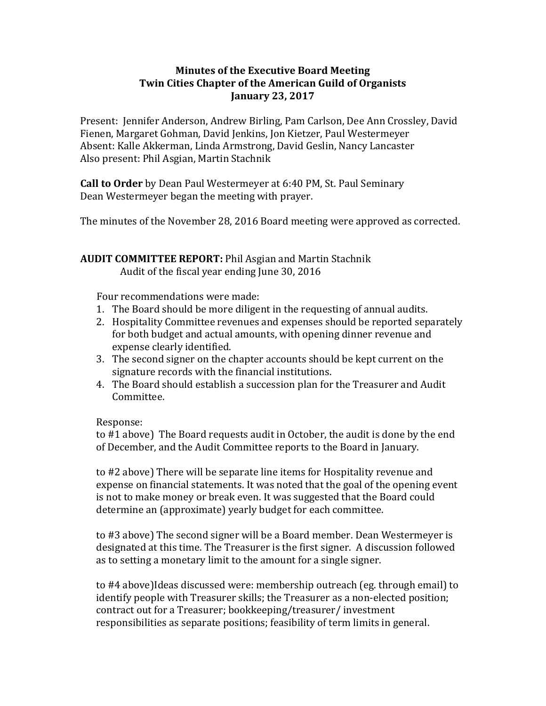## **Minutes of the Executive Board Meeting Twin Cities Chapter of the American Guild of Organists January 23, 2017**

Present: Jennifer Anderson, Andrew Birling, Pam Carlson, Dee Ann Crossley, David Fienen, Margaret Gohman, David Jenkins, Jon Kietzer, Paul Westermeyer Absent: Kalle Akkerman, Linda Armstrong, David Geslin, Nancy Lancaster Also present: Phil Asgian, Martin Stachnik

**Call to Order** by Dean Paul Westermeyer at 6:40 PM, St. Paul Seminary Dean Westermeyer began the meeting with prayer.

The minutes of the November 28, 2016 Board meeting were approved as corrected.

### **AUDIT COMMITTEE REPORT:** Phil Asgian and Martin Stachnik Audit of the fiscal year ending June 30, 2016

Four recommendations were made:

- 1. The Board should be more diligent in the requesting of annual audits.
- 2. Hospitality Committee revenues and expenses should be reported separately for both budget and actual amounts, with opening dinner revenue and expense clearly identified.
- 3. The second signer on the chapter accounts should be kept current on the signature records with the financial institutions.
- 4. The Board should establish a succession plan for the Treasurer and Audit Committee.

Response:

to #1 above) The Board requests audit in October, the audit is done by the end of December, and the Audit Committee reports to the Board in January.

to #2 above) There will be separate line items for Hospitality revenue and expense on financial statements. It was noted that the goal of the opening event is not to make money or break even. It was suggested that the Board could determine an (approximate) yearly budget for each committee.

to #3 above) The second signer will be a Board member. Dean Westermeyer is designated at this time. The Treasurer is the first signer. A discussion followed as to setting a monetary limit to the amount for a single signer.

to #4 above)Ideas discussed were: membership outreach (eg. through email) to identify people with Treasurer skills; the Treasurer as a non-elected position; contract out for a Treasurer; bookkeeping/treasurer/ investment responsibilities as separate positions; feasibility of term limits in general.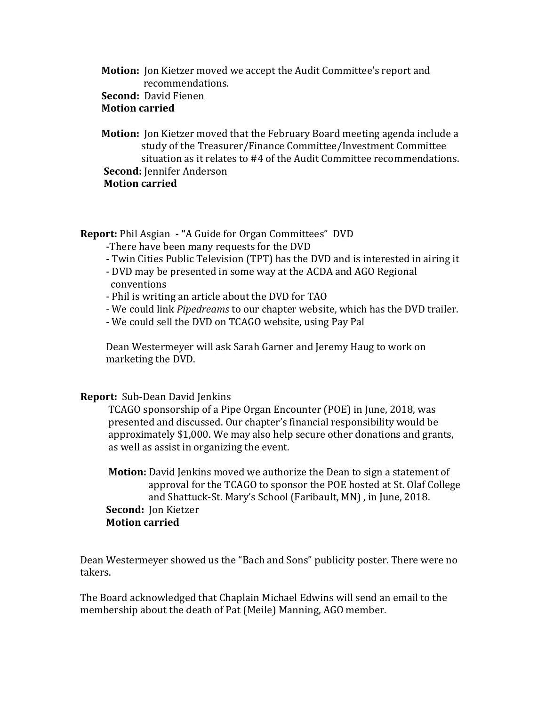# **Motion:** Jon Kietzer moved we accept the Audit Committee's report and recommendations.

## **Second:** David Fienen

## **Motion carried**

 **Motion:** Jon Kietzer moved that the February Board meeting agenda include a study of the Treasurer/Finance Committee/Investment Committee situation as it relates to #4 of the Audit Committee recommendations.  **Second:** Jennifer Anderson  **Motion carried**

**Report:** Phil Asgian **- "**A Guide for Organ Committees" DVD

- -There have been many requests for the DVD
- Twin Cities Public Television (TPT) has the DVD and is interested in airing it
- DVD may be presented in some way at the ACDA and AGO Regional conventions
- Phil is writing an article about the DVD for TAO
- We could link *Pipedreams* to our chapter website, which has the DVD trailer.
- We could sell the DVD on TCAGO website, using Pay Pal

 Dean Westermeyer will ask Sarah Garner and Jeremy Haug to work on marketing the DVD.

### **Report:** Sub-Dean David Jenkins

 TCAGO sponsorship of a Pipe Organ Encounter (POE) in June, 2018, was presented and discussed. Our chapter's financial responsibility would be approximately \$1,000. We may also help secure other donations and grants, as well as assist in organizing the event.

 **Motion:** David Jenkins moved we authorize the Dean to sign a statement of approval for the TCAGO to sponsor the POE hosted at St. Olaf College and Shattuck-St. Mary's School (Faribault, MN) , in June, 2018.  **Second:** Jon Kietzer **Motion carried**

Dean Westermeyer showed us the "Bach and Sons" publicity poster. There were no takers.

The Board acknowledged that Chaplain Michael Edwins will send an email to the membership about the death of Pat (Meile) Manning, AGO member.